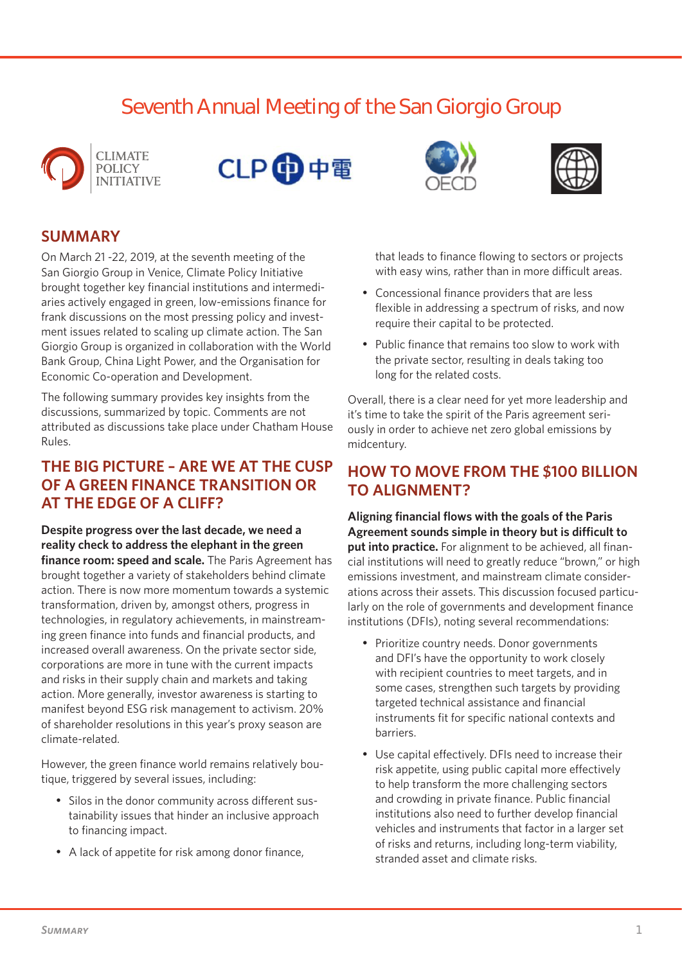# **Seventh Annual Meeting of the San Giorgio Group**







On March 21 -22, 2019, at the seventh meeting of the San Giorgio Group in Venice, Climate Policy Initiative brought together key financial institutions and intermediaries actively engaged in green, low-emissions finance for frank discussions on the most pressing policy and investment issues related to scaling up climate action. The San Giorgio Group is organized in collaboration with the World Bank Group, China Light Power, and the Organisation for Economic Co-operation and Development.

The following summary provides key insights from the discussions, summarized by topic. Comments are not attributed as discussions take place under Chatham House Rules.

## **THE BIG PICTURE – ARE WE AT THE CUSP OF A GREEN FINANCE TRANSITION OR AT THE EDGE OF A CLIFF?**

**Despite progress over the last decade, we need a reality check to address the elephant in the green finance room: speed and scale.** The Paris Agreement has brought together a variety of stakeholders behind climate action. There is now more momentum towards a systemic transformation, driven by, amongst others, progress in technologies, in regulatory achievements, in mainstreaming green finance into funds and financial products, and increased overall awareness. On the private sector side, corporations are more in tune with the current impacts and risks in their supply chain and markets and taking action. More generally, investor awareness is starting to manifest beyond ESG risk management to activism. 20% of shareholder resolutions in this year's proxy season are climate-related.

However, the green finance world remains relatively boutique, triggered by several issues, including:

- Silos in the donor community across different sustainability issues that hinder an inclusive approach to financing impact.
- A lack of appetite for risk among donor finance,





that leads to finance flowing to sectors or projects with easy wins, rather than in more difficult areas.

- Concessional finance providers that are less flexible in addressing a spectrum of risks, and now require their capital to be protected.
- Public finance that remains too slow to work with the private sector, resulting in deals taking too long for the related costs.

Overall, there is a clear need for yet more leadership and it's time to take the spirit of the Paris agreement seriously in order to achieve net zero global emissions by midcentury.

## **HOW TO MOVE FROM THE \$100 BILLION TO ALIGNMENT?**

**Aligning financial flows with the goals of the Paris Agreement sounds simple in theory but is difficult to put into practice.** For alignment to be achieved, all financial institutions will need to greatly reduce "brown," or high emissions investment, and mainstream climate considerations across their assets. This discussion focused particularly on the role of governments and development finance institutions (DFIs), noting several recommendations:

- Prioritize country needs. Donor governments and DFI's have the opportunity to work closely with recipient countries to meet targets, and in some cases, strengthen such targets by providing targeted technical assistance and financial instruments fit for specific national contexts and barriers.
- Use capital effectively. DFIs need to increase their risk appetite, using public capital more effectively to help transform the more challenging sectors and crowding in private finance. Public financial institutions also need to further develop financial vehicles and instruments that factor in a larger set of risks and returns, including long-term viability, stranded asset and climate risks.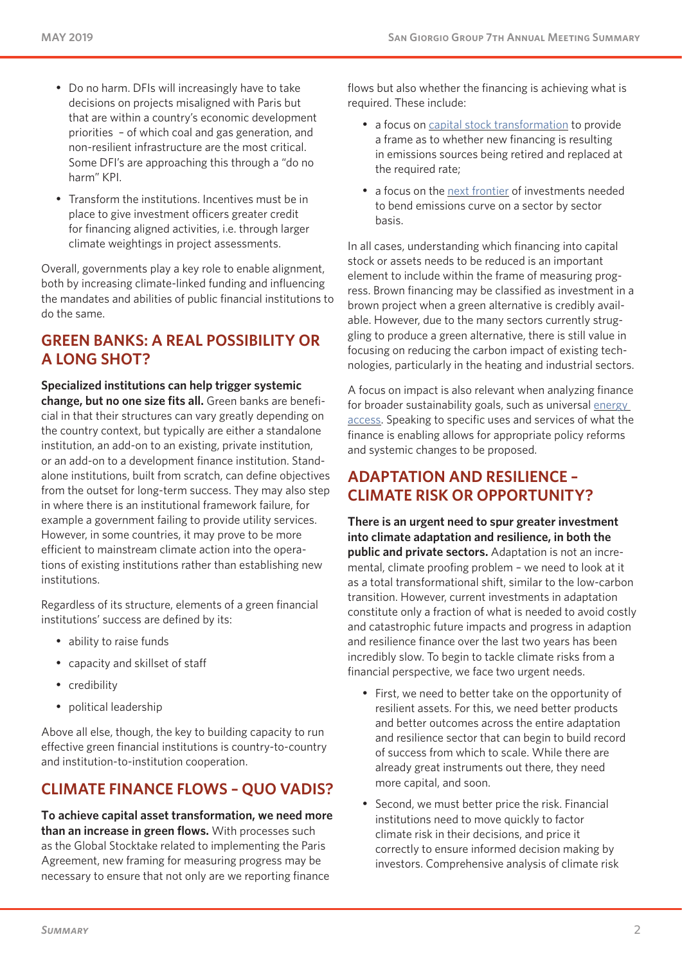- Do no harm. DFIs will increasingly have to take decisions on projects misaligned with Paris but that are within a country's economic development priorities – of which coal and gas generation, and non-resilient infrastructure are the most critical. Some DFI's are approaching this through a "do no harm" KPI.
- Transform the institutions. Incentives must be in place to give investment officers greater credit for financing aligned activities, i.e. through larger climate weightings in project assessments.

Overall, governments play a key role to enable alignment, both by increasing climate-linked funding and influencing the mandates and abilities of public financial institutions to do the same.

# **GREEN BANKS: A REAL POSSIBILITY OR A LONG SHOT?**

**Specialized institutions can help trigger systemic change, but no one size fits all.** Green banks are beneficial in that their structures can vary greatly depending on the country context, but typically are either a standalone institution, an add-on to an existing, private institution, or an add-on to a development finance institution. Standalone institutions, built from scratch, can define objectives from the outset for long-term success. They may also step in where there is an institutional framework failure, for example a government failing to provide utility services. However, in some countries, it may prove to be more efficient to mainstream climate action into the operations of existing institutions rather than establishing new institutions.

Regardless of its structure, elements of a green financial institutions' success are defined by its:

- ability to raise funds
- capacity and skillset of staff
- credibility
- political leadership

Above all else, though, the key to building capacity to run effective green financial institutions is country-to-country and institution-to-institution cooperation.

# **CLIMATE FINANCE FLOWS – QUO VADIS?**

**To achieve capital asset transformation, we need more than an increase in green flows.** With processes such as the Global Stocktake related to implementing the Paris Agreement, new framing for measuring progress may be necessary to ensure that not only are we reporting finance

flows but also whether the financing is achieving what is required. These include:

- a focus on [capital stock transformation](https://www.rmi.org/insight/climate-finance-levers-drive-capital-stock-transformation/) to provide a frame as to whether new financing is resulting in emissions sources being retired and replaced at the required rate;
- a focus on the [next frontier](https://climatepolicyinitiative.org/publication/climate-investment-research-collaborative-on-long-term-effectiveness-circle/) of investments needed to bend emissions curve on a sector by sector basis.

In all cases, understanding which financing into capital stock or assets needs to be reduced is an important element to include within the frame of measuring progress. Brown financing may be classified as investment in a brown project when a green alternative is credibly available. However, due to the many sectors currently struggling to produce a green alternative, there is still value in focusing on reducing the carbon impact of existing technologies, particularly in the heating and industrial sectors.

A focus on impact is also relevant when analyzing finance for broader sustainability goals, such as universal [energy](https://climatepolicyinitiative.org/publication/understanding-the-landscape-2018-tracking-finance-for-electricity-and-clean-cooking-access-in-high-impact-countries/)  [access.](https://climatepolicyinitiative.org/publication/understanding-the-landscape-2018-tracking-finance-for-electricity-and-clean-cooking-access-in-high-impact-countries/) Speaking to specific uses and services of what the finance is enabling allows for appropriate policy reforms and systemic changes to be proposed.

## **ADAPTATION AND RESILIENCE – CLIMATE RISK OR OPPORTUNITY?**

**There is an urgent need to spur greater investment into climate adaptation and resilience, in both the public and private sectors.** Adaptation is not an incremental, climate proofing problem – we need to look at it as a total transformational shift, similar to the low-carbon transition. However, current investments in adaptation constitute only a fraction of what is needed to avoid costly and catastrophic future impacts and progress in adaption and resilience finance over the last two years has been incredibly slow. To begin to tackle climate risks from a financial perspective, we face two urgent needs.

- First, we need to better take on the opportunity of resilient assets. For this, we need better products and better outcomes across the entire adaptation and resilience sector that can begin to build record of success from which to scale. While there are already great instruments out there, they need more capital, and soon.
- Second, we must better price the risk. Financial institutions need to move quickly to factor climate risk in their decisions, and price it correctly to ensure informed decision making by investors. Comprehensive analysis of climate risk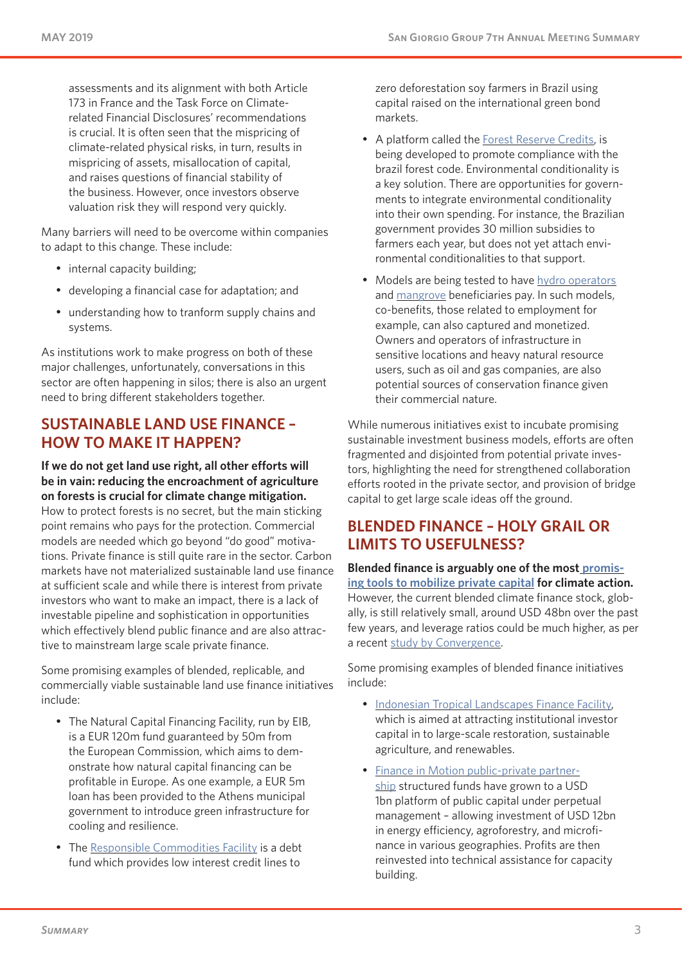assessments and its alignment with both Article 173 in France and the Task Force on Climaterelated Financial Disclosures' recommendations is crucial. It is often seen that the mispricing of climate-related physical risks, in turn, results in mispricing of assets, misallocation of capital, and raises questions of financial stability of the business. However, once investors observe valuation risk they will respond very quickly.

Many barriers will need to be overcome within companies to adapt to this change. These include:

- internal capacity building;
- developing a financial case for adaptation; and
- understanding how to tranform supply chains and systems.

As institutions work to make progress on both of these major challenges, unfortunately, conversations in this sector are often happening in silos; there is also an urgent need to bring different stakeholders together.

#### **SUSTAINABLE LAND USE FINANCE – HOW TO MAKE IT HAPPEN?**

**If we do not get land use right, all other efforts will be in vain: reducing the encroachment of agriculture on forests is crucial for climate change mitigation.**  How to protect forests is no secret, but the main sticking point remains who pays for the protection. Commercial models are needed which go beyond "do good" motivations. Private finance is still quite rare in the sector. Carbon markets have not materialized sustainable land use finance at sufficient scale and while there is interest from private investors who want to make an impact, there is a lack of investable pipeline and sophistication in opportunities which effectively blend public finance and are also attractive to mainstream large scale private finance.

Some promising examples of blended, replicable, and commercially viable sustainable land use finance initiatives include:

- The Natural Capital Financing Facility, run by EIB, is a EUR 120m fund guaranteed by 50m from the European Commission, which aims to demonstrate how natural capital financing can be profitable in Europe. As one example, a EUR 5m loan has been provided to the Athens municipal government to introduce green infrastructure for cooling and resilience.
- The [Responsible Commodities Facility](https://www.climatefinancelab.org/project/responsible-commodities-facility/) is a debt fund which provides low interest credit lines to

zero deforestation soy farmers in Brazil using capital raised on the international green bond markets.

- A platform called the [Forest Reserve Credits,](http://www.forestcredits.org.uk/projects) is being developed to promote compliance with the brazil forest code. Environmental conditionality is a key solution. There are opportunities for governments to integrate environmental conditionality into their own spending. For instance, the Brazilian government provides 30 million subsidies to farmers each year, but does not yet attach environmental conditionalities to that support.
- Models are being tested to have [hydro operators](https://www.climatefinancelab.org/project/cloud-forest-blue-energy-mechanism/) and [mangrove](https://www.climatefinancelab.org/project/coastal-risk-reduction/) beneficiaries pay. In such models, co-benefits, those related to employment for example, can also captured and monetized. Owners and operators of infrastructure in sensitive locations and heavy natural resource users, such as oil and gas companies, are also potential sources of conservation finance given their commercial nature.

While numerous initiatives exist to incubate promising sustainable investment business models, efforts are often fragmented and disjointed from potential private investors, highlighting the need for strengthened collaboration efforts rooted in the private sector, and provision of bridge capital to get large scale ideas off the ground.

## **BLENDED FINANCE – HOLY GRAIL OR LIMITS TO USEFULNESS?**

**Blended finance is arguably one of the most [promis](https://climatepolicyinitiative.org/publication/blended-finance-clean-energy-experiences-opportunities/)[ing tools to mobilize private capital](https://climatepolicyinitiative.org/publication/blended-finance-clean-energy-experiences-opportunities/) for climate action.**  However, the current blended climate finance stock, globally, is still relatively small, around USD 48bn over the past few years, and leverage ratios could be much higher, as per a recent [study by Convergence](https://www.convergence.finance/knowledge/7LEqTu0YeceaQugSWaSKSk/view).

Some promising examples of blended finance initiatives include:

- [Indonesian Tropical Landscapes Finance Facility,](http://tlffindonesia.org/) which is aimed at attracting institutional investor capital in to large-scale restoration, sustainable agriculture, and renewables.
- [Finance in Motion public-private partner](https://www.finance-in-motion.com/impact-investing/public-private-partnerships/)[ship](https://www.finance-in-motion.com/impact-investing/public-private-partnerships/) structured funds have grown to a USD 1bn platform of public capital under perpetual management – allowing investment of USD 12bn in energy efficiency, agroforestry, and microfinance in various geographies. Profits are then reinvested into technical assistance for capacity building.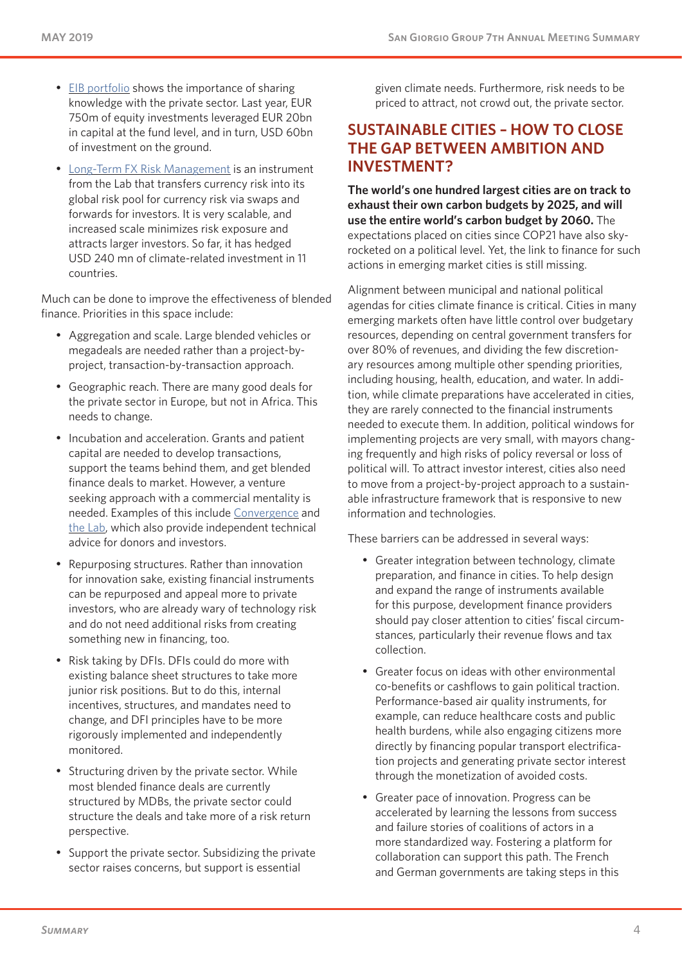- [EIB portfolio](https://www.eib.org/en/products/sheets/guarantee-instruments-features.htm) shows the importance of sharing knowledge with the private sector. Last year, EUR 750m of equity investments leveraged EUR 20bn in capital at the fund level, and in turn, USD 60bn of investment on the ground.
- [Long-Term FX Risk Management](https://www.climatefinancelab.org/project/long-term-currency-swap/) is an instrument from the Lab that transfers currency risk into its global risk pool for currency risk via swaps and forwards for investors. It is very scalable, and increased scale minimizes risk exposure and attracts larger investors. So far, it has hedged USD 240 mn of climate-related investment in 11 countries.

Much can be done to improve the effectiveness of blended finance. Priorities in this space include:

- Aggregation and scale. Large blended vehicles or megadeals are needed rather than a project-byproject, transaction-by-transaction approach.
- Geographic reach. There are many good deals for the private sector in Europe, but not in Africa. This needs to change.
- Incubation and acceleration. Grants and patient capital are needed to develop transactions, support the teams behind them, and get blended finance deals to market. However, a venture seeking approach with a commercial mentality is needed. Examples of this include [Convergence](https://www.convergence.finance/) and [the Lab,](https://www.climatefinancelab.org/) which also provide independent technical advice for donors and investors.
- Repurposing structures. Rather than innovation for innovation sake, existing financial instruments can be repurposed and appeal more to private investors, who are already wary of technology risk and do not need additional risks from creating something new in financing, too.
- Risk taking by DFIs. DFIs could do more with existing balance sheet structures to take more junior risk positions. But to do this, internal incentives, structures, and mandates need to change, and DFI principles have to be more rigorously implemented and independently monitored.
- Structuring driven by the private sector. While most blended finance deals are currently structured by MDBs, the private sector could structure the deals and take more of a risk return perspective.
- Support the private sector. Subsidizing the private sector raises concerns, but support is essential

given climate needs. Furthermore, risk needs to be priced to attract, not crowd out, the private sector.

## **SUSTAINABLE CITIES – HOW TO CLOSE THE GAP BETWEEN AMBITION AND INVESTMENT?**

**The world's one hundred largest cities are on track to exhaust their own carbon budgets by 2025, and will use the entire world's carbon budget by 2060.** The expectations placed on cities since COP21 have also skyrocketed on a political level. Yet, the link to finance for such actions in emerging market cities is still missing.

Alignment between municipal and national political agendas for cities climate finance is critical. Cities in many emerging markets often have little control over budgetary resources, depending on central government transfers for over 80% of revenues, and dividing the few discretionary resources among multiple other spending priorities, including housing, health, education, and water. In addition, while climate preparations have accelerated in cities, they are rarely connected to the financial instruments needed to execute them. In addition, political windows for implementing projects are very small, with mayors changing frequently and high risks of policy reversal or loss of political will. To attract investor interest, cities also need to move from a project-by-project approach to a sustainable infrastructure framework that is responsive to new information and technologies.

These barriers can be addressed in several ways:

- Greater integration between technology, climate preparation, and finance in cities. To help design and expand the range of instruments available for this purpose, development finance providers should pay closer attention to cities' fiscal circumstances, particularly their revenue flows and tax collection.
- Greater focus on ideas with other environmental co-benefits or cashflows to gain political traction. Performance-based air quality instruments, for example, can reduce healthcare costs and public health burdens, while also engaging citizens more directly by financing popular transport electrification projects and generating private sector interest through the monetization of avoided costs.
- Greater pace of innovation. Progress can be accelerated by learning the lessons from success and failure stories of coalitions of actors in a more standardized way. Fostering a platform for collaboration can support this path. The French and German governments are taking steps in this